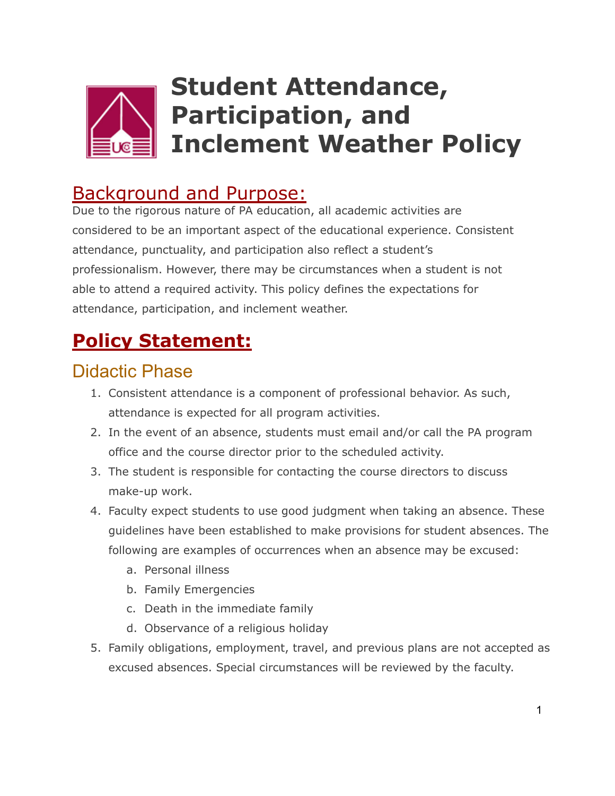

# **Student Attendance, Participation, and Inclement Weather Policy**

#### Background and Purpose:

Due to the rigorous nature of PA education, all academic activities are considered to be an important aspect of the educational experience. Consistent attendance, punctuality, and participation also reflect a student's professionalism. However, there may be circumstances when a student is not able to attend a required activity. This policy defines the expectations for attendance, participation, and inclement weather.

## **Policy Statement:**

#### Didactic Phase

- 1. Consistent attendance is a component of professional behavior. As such, attendance is expected for all program activities.
- 2. In the event of an absence, students must email and/or call the PA program office and the course director prior to the scheduled activity.
- 3. The student is responsible for contacting the course directors to discuss make-up work.
- 4. Faculty expect students to use good judgment when taking an absence. These guidelines have been established to make provisions for student absences. The following are examples of occurrences when an absence may be excused:
	- a. Personal illness
	- b. Family Emergencies
	- c. Death in the immediate family
	- d. Observance of a religious holiday
- 5. Family obligations, employment, travel, and previous plans are not accepted as excused absences. Special circumstances will be reviewed by the faculty.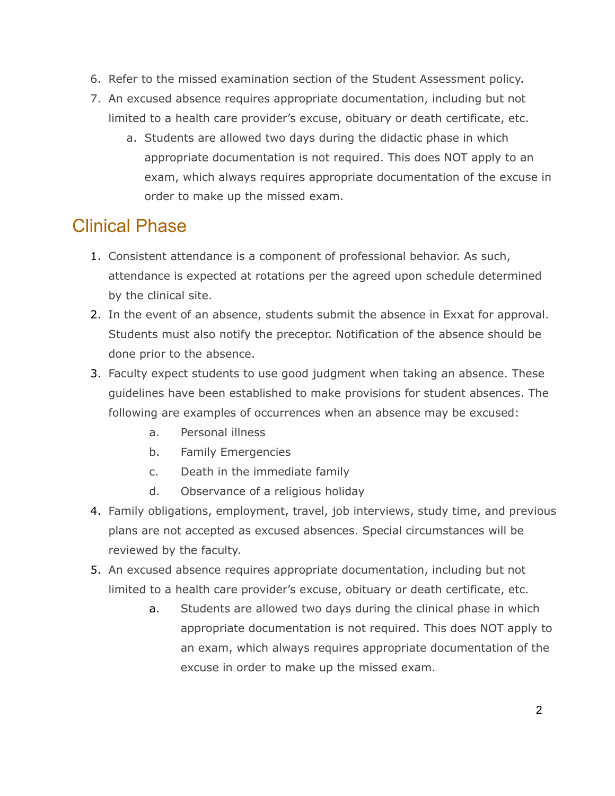- 6. Refer to the missed examination section of the Student Assessment policy.
- 7. An excused absence requires appropriate documentation, including but not limited to a health care provider's excuse, obituary or death certificate, etc.
	- a. Students are allowed two days during the didactic phase in which appropriate documentation is not required. This does NOT apply to an exam, which always requires appropriate documentation of the excuse in order to make up the missed exam.

#### Clinical Phase

- 1. Consistent attendance is a component of professional behavior. As such, attendance is expected at rotations per the agreed upon schedule determined by the clinical site.
- 2. In the event of an absence, students submit the absence in Exxat for approval. Students must also notify the preceptor. Notification of the absence should be done prior to the absence.
- 3. Faculty expect students to use good judgment when taking an absence. These guidelines have been established to make provisions for student absences. The following are examples of occurrences when an absence may be excused:
	- a. Personal illness
	- b. Family Emergencies
	- c. Death in the immediate family
	- d. Observance of a religious holiday
- 4. Family obligations, employment, travel, job interviews, study time, and previous plans are not accepted as excused absences. Special circumstances will be reviewed by the faculty.
- 5. An excused absence requires appropriate documentation, including but not limited to a health care provider's excuse, obituary or death certificate, etc.
	- a. Students are allowed two days during the clinical phase in which appropriate documentation is not required. This does NOT apply to an exam, which always requires appropriate documentation of the excuse in order to make up the missed exam.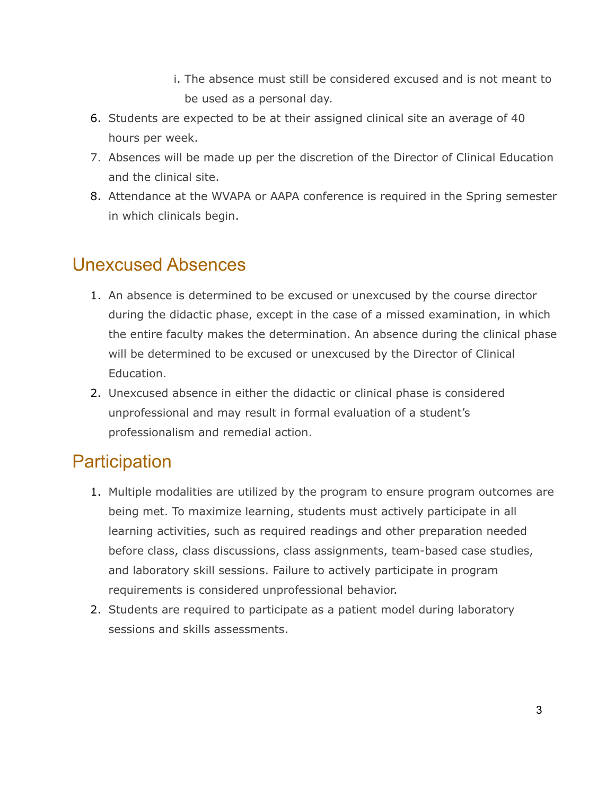- i. The absence must still be considered excused and is not meant to be used as a personal day.
- 6. Students are expected to be at their assigned clinical site an average of 40 hours per week.
- 7. Absences will be made up per the discretion of the Director of Clinical Education and the clinical site.
- 8. Attendance at the WVAPA or AAPA conference is required in the Spring semester in which clinicals begin.

#### Unexcused Absences

- 1. An absence is determined to be excused or unexcused by the course director during the didactic phase, except in the case of a missed examination, in which the entire faculty makes the determination. An absence during the clinical phase will be determined to be excused or unexcused by the Director of Clinical Education.
- 2. Unexcused absence in either the didactic or clinical phase is considered unprofessional and may result in formal evaluation of a student's professionalism and remedial action.

#### **Participation**

- 1. Multiple modalities are utilized by the program to ensure program outcomes are being met. To maximize learning, students must actively participate in all learning activities, such as required readings and other preparation needed before class, class discussions, class assignments, team-based case studies, and laboratory skill sessions. Failure to actively participate in program requirements is considered unprofessional behavior.
- 2. Students are required to participate as a patient model during laboratory sessions and skills assessments.